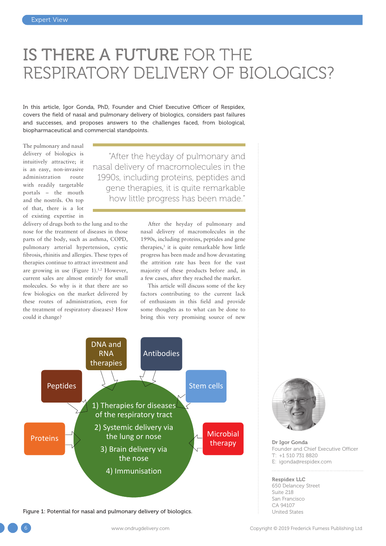# IS THERE A FUTURE FOR THE RESPIRATORY DELIVERY OF BIOLOGICS?

In this article, Igor Gonda, PhD, Founder and Chief Executive Officer of Respidex, covers the field of nasal and pulmonary delivery of biologics, considers past failures and successes, and proposes answers to the challenges faced, from biological, biopharmaceutical and commercial standpoints.

The pulmonary and nasal delivery of biologics is intuitively attractive; it is an easy, non-invasive administration route with readily targetable portals – the mouth and the nostrils. On top of that, there is a lot of existing expertise in

"After the heyday of pulmonary and nasal delivery of macromolecules in the 1990s, including proteins, peptides and gene therapies, it is quite remarkable how little progress has been made."

delivery of drugs both to the lung and to the nose for the treatment of diseases in those parts of the body, such as asthma, COPD, pulmonary arterial hypertension, cystic fibrosis, rhinitis and allergies. These types of therapies continue to attract investment and are growing in use (Figure 1).<sup>1,2</sup> However, current sales are almost entirely for small molecules. So why is it that there are so few biologics on the market delivered by these routes of administration, even for the treatment of respiratory diseases? How could it change?

After the heyday of pulmonary and nasal delivery of macromolecules in the 1990s, including proteins, peptides and gene therapies,<sup>3</sup> it is quite remarkable how little progress has been made and how devastating the attrition rate has been for the vast majority of these products before and, in a few cases, after they reached the market.

This article will discuss some of the key factors contributing to the current lack of enthusiasm in this field and provide some thoughts as to what can be done to bring this very promising source of new



**Figure 1: Potential for nasal and pulmonary delivery of biologics.** The States of the United States



Dr Igor Gonda Founder and Chief Executive Officer T: +1 510 731 8820 E: igonda@respidex.com

#### Respidex LLC 650 Delancey Street Suite 218 San Francisco CA 94107

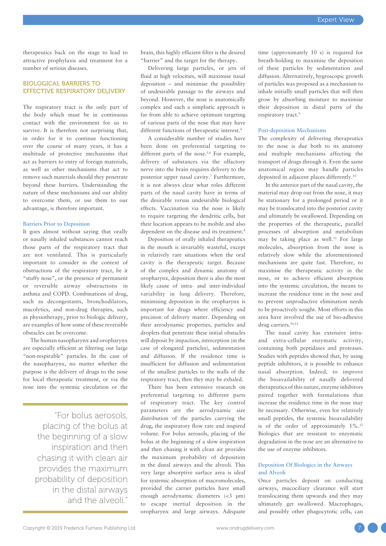therapeutics back on the stage to lead to attractive prophylaxis and treatment for a number of serious diseases.

## BIOLOGICAL BARRIERS TO EFFECTIVE RESPIRATORY DELIVERY

The respiratory tract is the only part of the body which must be in continuous contact with the environment for us to survive. It is therefore not surprising that, in order for it to continue functioning over the course of many years, it has a multitude of protective mechanisms that act as barriers to entry of foreign materials, as well as other mechanisms that act to remove such materials should they penetrate beyond these barriers. Understanding the nature of these mechanisms and our ability to overcome them, or use them to our advantage, is therefore important.

#### **Barriers Prior to Deposition**

It goes almost without saying that orally or nasally inhaled substances cannot reach those parts of the respiratory tract that are not ventilated. This is particularly important to consider in the context of obstructions of the respiratory tract, be it "stuffy nose", or the presence of permanent or reversible airway obstructions in asthma and COPD. Combinations of drug, such as decongestants, bronchodilators, mucolytics, and non-drug therapies, such as physiotherapy, prior to biologic delivery, are examples of how some of these reversible obstacles can be overcome.

The human nasopharynx and oropharynx are especially efficient at filtering out large "non-respirable" particles. In the case of the nasopharynx, no matter whether the purpose is the delivery of drugs to the nose for local therapeutic treatment, or via the nose into the systemic circulation or the

> "For bolus aerosols, placing of the bolus at the beginning of a slow inspiration and then chasing it with clean air provides the maximum probability of deposition in the distal airways and the alveoli."

brain, this highly efficient filter is the desired "barrier" and the target for the therapy.

Delivering large particles, or jets of fluid at high velocities, will maximise nasal deposition – and minimise the possibility of undesirable passage to the airways and beyond. However, the nose is anatomically complex and such a simplistic approach is far from able to achieve optimum targeting of various parts of the nose that may have different functions of therapeutic interest.<sup>4</sup>

A considerable number of studies have been done on preferential targeting to different parts of the nose.<sup>5,6</sup> For example, delivery of substances via the olfactory nerve into the brain requires delivery to the posterior upper nasal cavity.<sup>7</sup> Furthermore, it is not always clear what roles different parts of the nasal cavity have in terms of the desirable versus undesirable biological effects. Vaccination via the nose is likely to require targeting the dendritic cells, but their location appears to be mobile and also dependent on the disease and its treatment.<sup>8</sup>

Deposition of orally inhaled therapeutics in the mouth is invariably wasteful, except in relatively rare situations when the oral cavity is the therapeutic target. Because of the complex and dynamic anatomy of oropharynx, deposition there is also the most likely cause of intra- and inter-individual variability in lung delivery. Therefore, minimising deposition in the oropharynx is important for drugs where efficiency and precision of delivery matter. Depending on their aerodynamic properties, particles and droplets that penetrate these initial obstacles will deposit by impaction, interception (in the case of elongated particles), sedimentation and diffusion. If the residence time is insufficient for diffusion and sedimentation of the smallest particles to the walls of the respiratory tract, then they may be exhaled.

There has been extensive research on preferential targeting to different parts of respiratory tract. The key control parameters are the aerodynamic size distribution of the particles carrying the drug, the inspiratory flow rate and inspired volume. For bolus aerosols, placing of the bolus at the beginning of a slow inspiration and then chasing it with clean air provides the maximum probability of deposition in the distal airways and the alveoli. This very large absorptive surface area is ideal for systemic absorption of macromolecules, provided the carrier particles have small enough aerodynamic diameters (<3 µm) to escape inertial deposition in the oropharynx and large airways. Adequate

time (approximately 10 s) is required for breath-holding to maximise the deposition of these particles by sedimentation and diffusion. Alternatively, hygroscopic growth of particles was proposed as a mechanism to inhale initially small particles that will then grow by absorbing moisture to maximise their deposition in distal parts of the respiratory tract.<sup>9</sup>

#### **Post-deposition Mechanisms**

The complexity of delivering therapeutics to the nose is due both to its anatomy and multiple mechanisms affecting the transport of drugs through it. Even the same anatomical region may handle particles deposited in adjacent places differently.<sup>10</sup>

In the anterior part of the nasal cavity, the material may drop out from the nose, it may be stationary for a prolonged period or it may be translocated into the posterior cavity and ultimately be swallowed. Depending on the properties of the therapeutic, parallel processes of absorption and metabolism may be taking place as well.<sup>11</sup> For large molecules, absorption from the nose is relatively slow while the aforementioned mechanisms are quite fast. Therefore, to maximise the therapeutic activity in the nose, or to achieve efficient absorption into the systemic circulation, the means to increase the residence time in the nose and to prevent unproductive elimination needs to be proactively sought. Most efforts in this area have involved the use of bio-adhesive drug carriers.<sup>10,12</sup>

The nasal cavity has extensive intraand extra-cellular enzymatic activity, containing both peptidases and proteases. Studies with peptides showed that, by using peptide inhibitors, it is possible to enhance nasal absorption. Indeed, to improve the bioavailability of nasally delivered therapeutics of this nature, enzyme inhibitors paired together with formulations that increase the residence time in the nose may be necessary. Otherwise, even for relatively small peptides, the systemic bioavailability is of the order of approximately  $1\%$ .<sup>12</sup> Biologics that are resistant to enzymatic degradation in the nose are an alternative to the use of enzyme inhibitors.

## **Deposition Of Biologics in the Airways and Alveoli**

Once particles deposit on conducting airways, mucociliary clearance will start translocating them upwards and they may ultimately get swallowed. Macrophages, and possibly other phagocytotic cells, can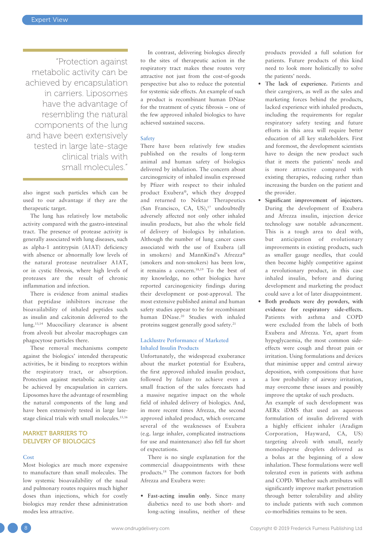"Protection against metabolic activity can be achieved by encapsulation in carriers. Liposomes have the advantage of resembling the natural components of the lung and have been extensively tested in large late-stage clinical trials with small molecules."

also ingest such particles which can be used to our advantage if they are the therapeutic target.

The lung has relatively low metabolic activity compared with the gastro-intestinal tract. The presence of protease activity is generally associated with lung diseases, such as alpha-1 antitrypsin (A1AT) deficiency with absence or abnormally low levels of the natural protease neutraliser A1AT, or in cystic fibrosis, where high levels of proteases are the result of chronic inflammation and infection.

There is evidence from animal studies that peptidase inhibitors increase the bioavailability of inhaled peptides such as insulin and calcitonin delivered to the lung.13,14 Mucociliary clearance is absent from alveoli but alveolar macrophages can phagocytose particles there.

These removal mechanisms compete against the biologics' intended therapeutic activities, be it binding to receptors within the respiratory tract, or absorption. Protection against metabolic activity can be achieved by encapsulation in carriers. Liposomes have the advantage of resembling the natural components of the lung and have been extensively tested in large latestage clinical trials with small molecules.<sup>15,16</sup>

# MARKET BARRIERS TO DELIVERY OF BIOLOGICS

#### **Cost**

Most biologics are much more expensive to manufacture than small molecules. The low systemic bioavailability of the nasal and pulmonary routes requires much higher doses than injections, which for costly biologics may render these administration modes less attractive.

In contrast, delivering biologics directly to the sites of therapeutic action in the respiratory tract makes these routes very attractive not just from the cost-of-goods perspective but also to reduce the potential for systemic side effects. An example of such a product is recombinant human DNase for the treatment of cystic fibrosis – one of the few approved inhaled biologics to have achieved sustained success.

#### **Safety**

There have been relatively few studies published on the results of long-term animal and human safety of biologics delivered by inhalation. The concern about carcinogenicity of inhaled insulin expressed by Pfizer with respect to their inhaled product Exubera®, which they dropped and returned to Nektar Therapeutics (San Francisco, CA, US),<sup>17</sup> undoubtedly adversely affected not only other inhaled insulin products, but also the whole field of delivery of biologics by inhalation. Although the number of lung cancer cases associated with the use of Exubera (all in smokers) and MannKind's Afrezza® (smokers and non-smokers) has been low, it remains a concern.18,19 To the best of my knowledge, no other biologics have reported carcinogenicity findings during their development or post-approval. The most extensive published animal and human safety studies appear to be for recombinant human DNase.<sup>20</sup> Studies with inhaled proteins suggest generally good safety.<sup>21</sup>

#### **Lacklustre Performance of Marketed Inhaled Insulin Products**

Unfortunately, the widespread exuberance about the market potential for Exubera, the first approved inhaled insulin product, followed by failure to achieve even a small fraction of the sales forecasts had a massive negative impact on the whole field of inhaled delivery of biologics. And, in more recent times Afrezza, the second approved inhaled product, which overcame several of the weaknesses of Exubera (e.g. large inhaler, complicated instructions for use and maintenance) also fell far short of expectations.

There is no single explanation for the commercial disappointments with these products.<sup>18</sup> The common factors for both Afrezza and Exubera were:

• **Fast-acting insulin only.** Since many diabetics need to use both short- and long-acting insulins, neither of these products provided a full solution for patients. Future products of this kind need to look more holistically to solve the patients' needs.

- **The lack of experience.** Patients and their caregivers, as well as the sales and marketing forces behind the products, lacked experience with inhaled products, including the requirements for regular respiratory safety testing and future efforts in this area will require better education of all key stakeholders. First and foremost, the development scientists have to design the new product such that it meets the patients' needs and is more attractive compared with existing therapies, reducing rather than increasing the burden on the patient and the provider.
- **Significant improvement of injectors.** During the development of Exubera and Afrezza insulin, injection device technology saw notable advancement. This is a tough area to deal with, but anticipation of evolutionary improvements in existing products, such as smaller gauge needles, that could then become highly competitive against a revolutionary product, in this case inhaled insulin, before and during development and marketing the product could save a lot of later disappointment.
- **Both products were dry powders, with evidence for respiratory side-effects.** Patients with asthma and COPD were excluded from the labels of both Exubera and Afrezza. Yet, apart from hypoglycaemia, the most common sideeffects were cough and throat pain or irritation. Using formulations and devices that minimise upper and central airway deposition, with compositions that have a low probability of airway irritation, may overcome these issues and possibly improve the uptake of such products.

 An example of such development was AERx iDMS that used an aqueous formulation of insulin delivered with a highly efficient inhaler (Aradigm Corporation, Hayward, CA, US) targeting alveoli with small, nearly monodisperse droplets delivered as a bolus at the beginning of a slow inhalation. These formulations were well tolerated even in patients with asthma and COPD. Whether such attributes will significantly improve market penetration through better tolerability and ability to include patients with such common co-morbidities remains to be seen.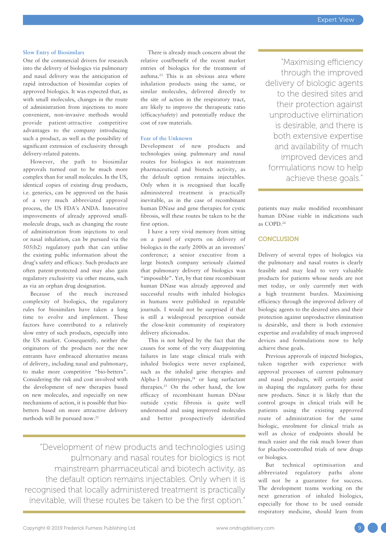#### **Slow Entry of Biosimilars**

One of the commercial drivers for research into the delivery of biologics via pulmonary and nasal delivery was the anticipation of rapid introduction of biosimilar copies of approved biologics. It was expected that, as with small molecules, changes in the route of administration from injections to more convenient, non-invasive methods would provide patient-attractive competitive advantages to the company introducing such a product, as well as the possibility of significant extension of exclusivity through delivery-related patents.

However, the path to biosimilar approvals turned out to be much more complex than for small molecules. In the US, identical copies of existing drug products, i.e. generics, can be approved on the basis of a very much abbreviated approval process, the US FDA's ANDA. Innovative improvements of already approved smallmolecule drugs, such as changing the route of administration from injections to oral or nasal inhalation, can be pursued via the 505(b2) regulatory path that can utilise the existing public information about the drug's safety and efficacy. Such products are often patent-protected and may also gain regulatory exclusivity via other means, such as via an orphan drug designation.

Because of the much increased complexity of biologics, the regulatory rules for biosimilars have taken a long time to evolve and implement. These factors have contributed to a relatively slow entry of such products, especially into the US market. Consequently, neither the originators of the products nor the new entrants have embraced alternative means of delivery, including nasal and pulmonary, to make more competitive "bio-betters". Considering the risk and cost involved with the development of new therapies based on new molecules, and especially on new mechanisms of action, it is possible that biobetters based on more attractive delivery methods will be pursued now.<sup>22</sup>

There is already much concern about the relative cost/benefit of the recent market entries of biologics for the treatment of asthma.<sup>23</sup> This is an obvious area where inhalation products using the same, or similar molecules, delivered directly to the site of action in the respiratory tract, are likely to improve the therapeutic ratio (efficacy/safety) and potentially reduce the cost of raw materials.

#### **Fear of the Unknown**

Development of new products and technologies using pulmonary and nasal routes for biologics is not mainstream pharmaceutical and biotech activity, as the default option remains injectables. Only when it is recognised that locally administered treatment is practically inevitable, as in the case of recombinant human DNase and gene therapies for cystic fibrosis, will these routes be taken to be the first option.

I have a very vivid memory from sitting on a panel of experts on delivery of biologics in the early 2000s at an investors' conference; a senior executive from a large biotech company seriously claimed that pulmonary delivery of biologics was "impossible". Yet, by that time recombinant human DNase was already approved and successful results with inhaled biologics in humans were published in reputable journals. I would not be surprised if that is still a widespread perception outside the close-knit community of respiratory delivery aficionados.

This is not helped by the fact that the causes for some of the very disappointing failures in late stage clinical trials with inhaled biologics were never explained, such as the inhaled gene therapies and Alpha-1 Antitrypsin,<sup>24</sup> or lung surfactant therapies.<sup>25</sup> On the other hand, the low efficacy of recombinant human DNase outside cystic fibrosis is quite well understood and using improved molecules and better prospectively identified

"Development of new products and technologies using pulmonary and nasal routes for biologics is not mainstream pharmaceutical and biotech activity, as the default option remains injectables. Only when it is recognised that locally administered treatment is practically inevitable, will these routes be taken to be the first option."

"Maximising efficiency through the improved delivery of biologic agents to the desired sites and their protection against unproductive elimination is desirable, and there is both extensive expertise and availability of much improved devices and formulations now to help achieve these goals."

patients may make modified recombinant human DNase viable in indications such as COPD.<sup>26</sup>

# **CONCLUSION**

Delivery of several types of biologics via the pulmonary and nasal routes is clearly feasible and may lead to very valuable products for patients whose needs are not met today, or only currently met with a high treatment burden. Maximising efficiency through the improved delivery of biologic agents to the desired sites and their protection against unproductive elimination is desirable, and there is both extensive expertise and availability of much improved devices and formulations now to help achieve these goals.

Previous approvals of injected biologics, taken together with experience with approval processes of current pulmonary and nasal products, will certainly assist in shaping the regulatory paths for these new products. Since it is likely that the control groups in clinical trials will be patients using the existing approved route of administration for the same biologic, enrolment for clinical trials as well as choice of endpoints should be much easier and the risk much lower than for placebo-controlled trials of new drugs or biologics.

But technical optimisation and abbreviated regulatory paths alone will not be a guarantee for success. The development teams working on the next generation of inhaled biologics, especially for those to be used outside respiratory medicine, should learn from